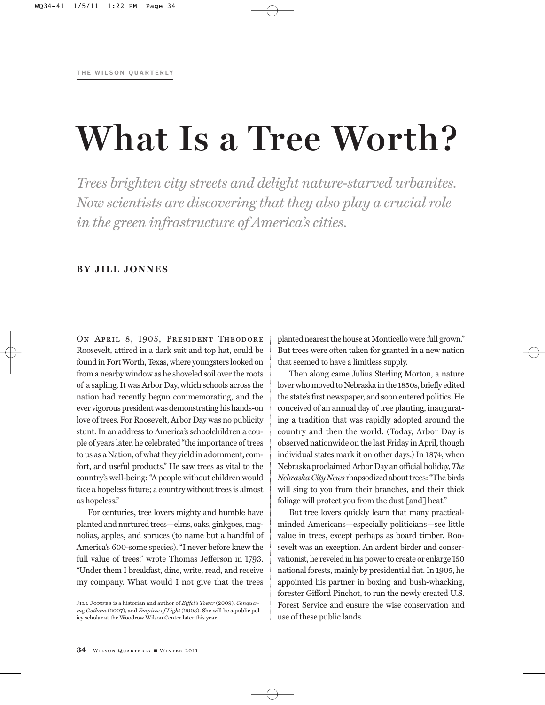# **What Is a Tree Worth?**

*Trees brighten city streets and delight nature-starved urbanites. Now scientists are discovering that they also play a crucial role in the green infrastructure of America's cities.*

### **BY JILL JONNES**

ON APRIL 8, 1905, PRESIDENT THEODORE Roosevelt, attired in a dark suit and top hat, could be found in Fort Worth, Texas, where youngsters looked on from a nearby window as he shoveled soil over the roots of a sapling. It was Arbor Day, which schools across the nation had recently begun commemorating, and the ever vigorous president was demonstrating his hands-on love of trees. For Roosevelt, Arbor Day was no publicity stunt. In an address to America's schoolchildren a couple of years later, he celebrated "the importance of trees to us as a Nation, of what they yield in adornment, comfort, and useful products." He saw trees as vital to the country's well-being: "A people without children would face a hopeless future; a country without trees is almost as hopeless."

For centuries, tree lovers mighty and humble have planted and nurtured trees—elms, oaks, ginkgoes, magnolias, apples, and spruces (to name but a handful of America's 600-some species). "I never before knew the full value of trees," wrote Thomas Jefferson in 1793. "Under them I breakfast, dine, write, read, and receive my company. What would I not give that the trees planted nearest the house at Monticello were full grown." But trees were often taken for granted in a new nation that seemed to have a limitless supply.

Then along came Julius Sterling Morton, a nature lover who moved to Nebraska in the 1850s, briefly edited the state's first newspaper, and soon entered politics. He conceived of an annual day of tree planting, inaugurating a tradition that was rapidly adopted around the country and then the world. (Today, Arbor Day is observed nationwide on the last Friday in April, though individual states mark it on other days.) In 1874, when Nebraska proclaimed Arbor Day an official holiday, *The Nebraska City News* rhapsodized about trees: "The birds will sing to you from their branches, and their thick foliage will protect you from the dust [and] heat."

But tree lovers quickly learn that many practicalminded Americans—especially politicians—see little value in trees, except perhaps as board timber. Roosevelt was an exception. An ardent birder and conservationist, he reveled in his power to create or enlarge 150 national forests, mainly by presidential fiat. In 1905, he appointed his partner in boxing and bush-whacking, forester Gifford Pinchot, to run the newly created U.S. Forest Service and ensure the wise conservation and use of these public lands.

Jill Jonnes is a historian and author of *Eiffel's Tower* (2009), *Conquering Gotham* (2007), and *Empires of Light* (2003). She will be a public policy scholar at the Woodrow Wilson Center later this year.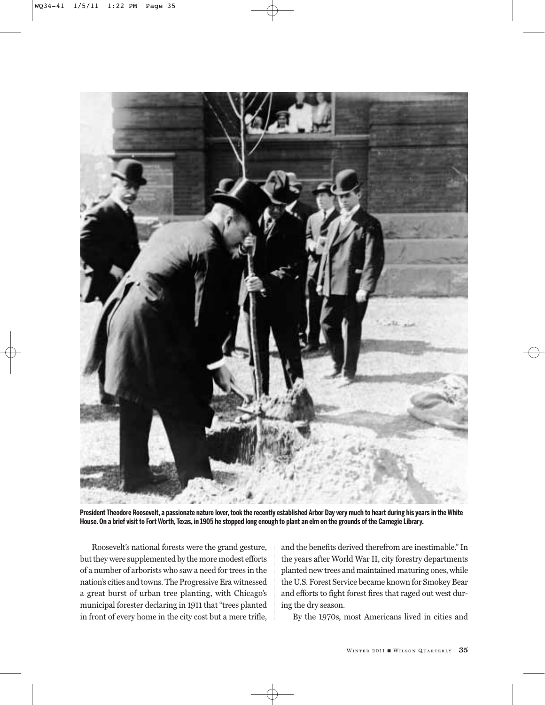

**President Theodore Roosevelt, a passionate nature lover, took the recently established Arbor Day very much to heart during his years in the White House. On a brief visit to Fort Worth, Texas, in 1905 he stopped long enough to plant an elm on the grounds of the Carnegie Library.**

Roosevelt's national forests were the grand gesture, but they were supplemented by the more modest efforts of a number of arborists who saw a need for trees in the nation's cities and towns. The Progressive Era witnessed a great burst of urban tree planting, with Chicago's municipal forester declaring in 1911 that "trees planted in front of every home in the city cost but a mere trifle,

and the benefits derived therefrom are inestimable." In the years after World War II, city forestry departments planted new trees and maintained maturing ones, while the U.S. Forest Service became known for Smokey Bear and efforts to fight forest fires that raged out west during the dry season.

By the 1970s, most Americans lived in cities and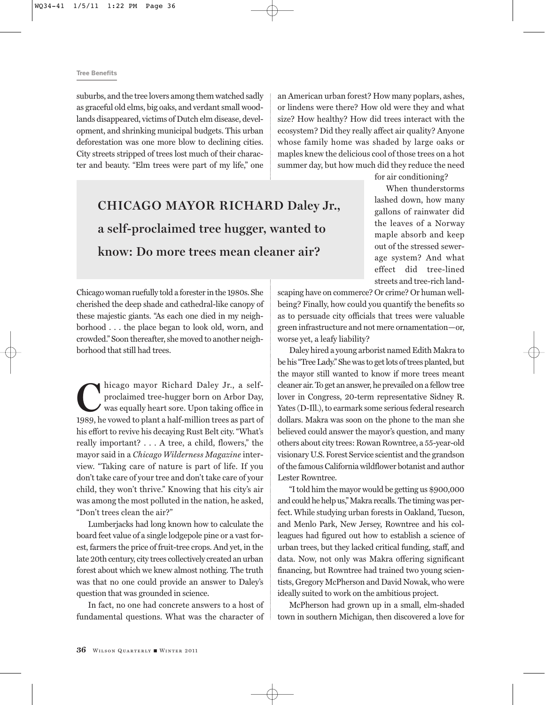### **Tree Benefits**

suburbs, and the tree lovers among them watched sadly as graceful old elms, big oaks, and verdant small woodlands disappeared, victims of Dutch elm disease, development, and shrinking municipal budgets. This urban deforestation was one more blow to declining cities. City streets stripped of trees lost much of their character and beauty. "Elm trees were part of my life," one

### **CHICAGO MAYOR RICHARD Daley Jr., a self-proclaimed tree hugger, wanted to know: Do more trees mean cleaner air?**

Chicago woman ruefully told a forester in the 1980s. She cherished the deep shade and cathedral-like canopy of these majestic giants. "As each one died in my neighborhood . . . the place began to look old, worn, and crowded." Soon thereafter, she moved to another neighborhood that still had trees.

Thicago mayor Richard Daley Jr., a self-<br>proclaimed tree-hugger born on Arbor Day,<br>was equally heart sore. Upon taking office in proclaimed tree-hugger born on Arbor Day,  $\mathbf y$  was equally heart sore. Upon taking office in 1989, he vowed to plant a half-million trees as part of his effort to revive his decaying Rust Belt city. "What's really important? . . . A tree, a child, flowers," the mayor said in a *Chicago Wilderness Magazine* interview. "Taking care of nature is part of life. If you don't take care of your tree and don't take care of your child, they won't thrive." Knowing that his city's air was among the most polluted in the nation, he asked, "Don't trees clean the air?"

Lumberjacks had long known how to calculate the board feet value of a single lodgepole pine or a vast forest, farmers the price of fruit-tree crops. And yet, in the late 20th century, city trees collectively created an urban forest about which we knew almost nothing. The truth was that no one could provide an answer to Daley's question that was grounded in science.

In fact, no one had concrete answers to a host of fundamental questions. What was the character of an American urban forest? How many poplars, ashes, or lindens were there? How old were they and what size? How healthy? How did trees interact with the ecosystem? Did they really affect air quality? Anyone whose family home was shaded by large oaks or maples knew the delicious cool of those trees on a hot summer day, but how much did they reduce the need

for air conditioning?

When thunderstorms lashed down, how many gallons of rainwater did the leaves of a Norway maple absorb and keep out of the stressed sewerage system? And what effect did tree-lined streets and tree-rich land-

scaping have on commerce? Or crime? Or human wellbeing? Finally, how could you quantify the benefits so as to persuade city officials that trees were valuable green infrastructure and not mere ornamentation—or, worse yet, a leafy liability?

Daley hired a young arborist named Edith Makra to be his "Tree Lady." She was to get lots of trees planted, but the mayor still wanted to know if more trees meant cleaner air. To get an answer, he prevailed on a fellow tree lover in Congress, 20-term representative Sidney R. Yates (D-Ill.), to earmark some serious federal research dollars. Makra was soon on the phone to the man she believed could answer the mayor's question, and many others about city trees: Rowan Rowntree, a 55-year-old visionary U.S. Forest Service scientist and the grandson of the famous California wildflower botanist and author Lester Rowntree.

"I told him the mayor would be getting us \$900,000 and could he help us," Makra recalls. The timing was perfect. While studying urban forests in Oakland, Tucson, and Menlo Park, New Jersey, Rowntree and his colleagues had figured out how to establish a science of urban trees, but they lacked critical funding, staff, and data. Now, not only was Makra offering significant financing, but Rowntree had trained two young scientists, Gregory McPherson and David Nowak, who were ideally suited to work on the ambitious project.

McPherson had grown up in a small, elm-shaded town in southern Michigan, then discovered a love for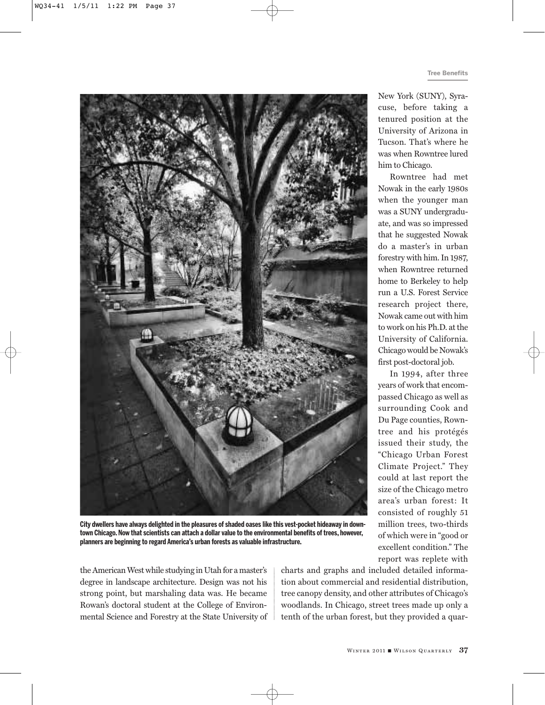

**City dwellers have always delighted in the pleasures of shaded oases like this vest-pocket hideaway in downtown Chicago. Now that scientists can attach a dollar value to the environmental benefits of trees, however, planners are beginning to regard America's urban forests as valuable infrastructure.**

New York (SUNY), Syracuse, before taking a tenured position at the University of Arizona in Tucson. That's where he was when Rowntree lured him to Chicago.

Rowntree had met Nowak in the early 1980s when the younger man was a SUNY undergraduate, and was so impressed that he suggested Nowak do a master's in urban forestry with him. In 1987, when Rowntree returned home to Berkeley to help run a U.S. Forest Service research project there, Nowak came out with him to work on his Ph.D. at the University of California. Chicago would be Nowak's first post-doctoral job.

In 1994, after three years of work that encompassed Chicago as well as surrounding Cook and Du Page counties, Rowntree and his protégés issued their study, the "Chicago Urban Forest Climate Project." They could at last report the size of the Chicago metro area's urban forest: It consisted of roughly 51 million trees, two-thirds of which were in "good or excellent condition." The report was replete with

the American West while studying in Utah for a master's degree in landscape architecture. Design was not his strong point, but marshaling data was. He became Rowan's doctoral student at the College of Environmental Science and Forestry at the State University of charts and graphs and included detailed information about commercial and residential distribution, tree canopy density, and other attributes of Chicago's woodlands. In Chicago, street trees made up only a tenth of the urban forest, but they provided a quar-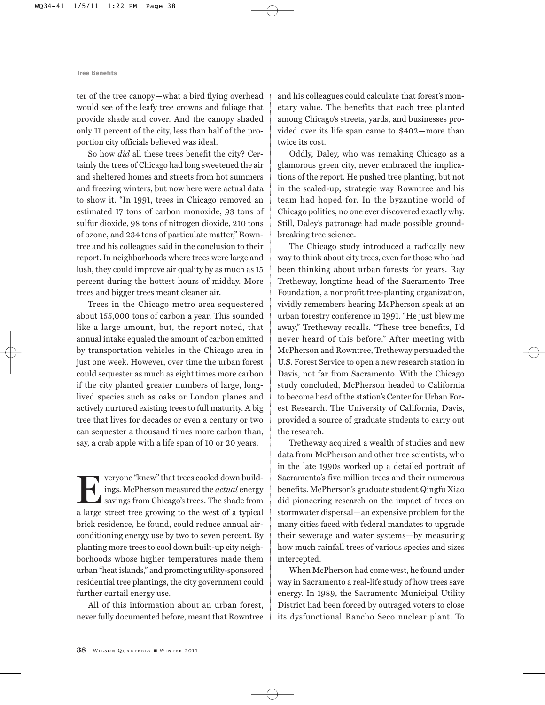### **Tree Benefits**

ter of the tree canopy—what a bird flying overhead would see of the leafy tree crowns and foliage that provide shade and cover. And the canopy shaded only 11 percent of the city, less than half of the proportion city officials believed was ideal.

So how *did* all these trees benefit the city? Certainly the trees of Chicago had long sweetened the air and sheltered homes and streets from hot summers and freezing winters, but now here were actual data to show it. "In 1991, trees in Chicago removed an estimated 17 tons of carbon monoxide, 93 tons of sulfur dioxide, 98 tons of nitrogen dioxide, 210 tons of ozone, and 234 tons of particulate matter," Rowntree and his colleagues said in the conclusion to their report. In neighborhoods where trees were large and lush, they could improve air quality by as much as 15 percent during the hottest hours of midday. More trees and bigger trees meant cleaner air.

Trees in the Chicago metro area sequestered about 155,000 tons of carbon a year. This sounded like a large amount, but, the report noted, that annual intake equaled the amount of carbon emitted by transportation vehicles in the Chicago area in just one week. However, over time the urban forest could sequester as much as eight times more carbon if the city planted greater numbers of large, longlived species such as oaks or London planes and actively nurtured existing trees to full maturity. A big tree that lives for decades or even a century or two can sequester a thousand times more carbon than, say, a crab apple with a life span of 10 or 20 years.

**EVERGONA SERV**<br>
EVERGONA SAVID SAVID SAVID SAVID SAVID SAVID SAVID SAVID SAVID SAVID SAVID SAVID SAVID SAVID SAVID SAVID SAVID SAVID SAVID SAVID SAVID SAVID SAVID SAVID SAVID SAVID SAVID SAVID SAVID SAVID SAVID SAVID SAVI ings. McPherson measured the *actual* energy savings from Chicago's trees. The shade from a large street tree growing to the west of a typical brick residence, he found, could reduce annual airconditioning energy use by two to seven percent. By planting more trees to cool down built-up city neighborhoods whose higher temperatures made them urban "heat islands," and promoting utility-sponsored residential tree plantings, the city government could further curtail energy use.

All of this information about an urban forest, never fully documented before, meant that Rowntree and his colleagues could calculate that forest's monetary value. The benefits that each tree planted among Chicago's streets, yards, and businesses provided over its life span came to \$402—more than twice its cost.

Oddly, Daley, who was remaking Chicago as a glamorous green city, never embraced the implications of the report. He pushed tree planting, but not in the scaled-up, strategic way Rowntree and his team had hoped for. In the byzantine world of Chicago politics, no one ever discovered exactly why. Still, Daley's patronage had made possible groundbreaking tree science.

The Chicago study introduced a radically new way to think about city trees, even for those who had been thinking about urban forests for years. Ray Tretheway, longtime head of the Sacramento Tree Foundation, a nonprofit tree-planting organization, vividly remembers hearing McPherson speak at an urban forestry conference in 1991. "He just blew me away," Tretheway recalls. "These tree benefits, I'd never heard of this before." After meeting with McPherson and Rowntree, Tretheway persuaded the U.S. Forest Service to open a new research station in Davis, not far from Sacramento. With the Chicago study concluded, McPherson headed to California to become head of the station's Center for Urban Forest Research. The University of California, Davis, provided a source of graduate students to carry out the research.

Tretheway acquired a wealth of studies and new data from McPherson and other tree scientists, who in the late 1990s worked up a detailed portrait of Sacramento's five million trees and their numerous benefits. McPherson's graduate student Qingfu Xiao did pioneering research on the impact of trees on stormwater dispersal—an expensive problem for the many cities faced with federal mandates to upgrade their sewerage and water systems—by measuring how much rainfall trees of various species and sizes intercepted.

When McPherson had come west, he found under way in Sacramento a real-life study of how trees save energy. In 1989, the Sacramento Municipal Utility District had been forced by outraged voters to close its dysfunctional Rancho Seco nuclear plant. To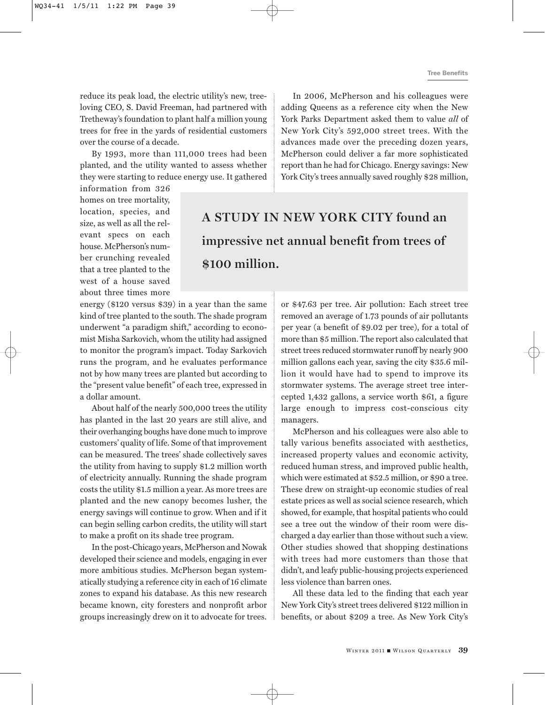reduce its peak load, the electric utility's new, treeloving CEO, S. David Freeman, had partnered with Tretheway's foundation to plant half a million young trees for free in the yards of residential customers over the course of a decade.

By 1993, more than 111,000 trees had been planted, and the utility wanted to assess whether they were starting to reduce energy use. It gathered

In 2006, McPherson and his colleagues were adding Queens as a reference city when the New York Parks Department asked them to value *all* of New York City's 592,000 street trees. With the advances made over the preceding dozen years, McPherson could deliver a far more sophisticated report than he had for Chicago. Energy savings: New York City's trees annually saved roughly \$28 million,

information from 326 homes on tree mortality, location, species, and size, as well as all the relevant specs on each house. McPherson's number crunching revealed that a tree planted to the west of a house saved about three times more

## **A STUDY IN NEW YORK CITY found an impressive net annual benefit from trees of \$100 million.**

energy (\$120 versus \$39) in a year than the same kind of tree planted to the south. The shade program underwent "a paradigm shift," according to economist Misha Sarkovich, whom the utility had assigned to monitor the program's impact. Today Sarkovich runs the program, and he evaluates performance not by how many trees are planted but according to the "present value benefit" of each tree, expressed in a dollar amount.

About half of the nearly 500,000 trees the utility has planted in the last 20 years are still alive, and their overhanging boughs have done much to improve customers' quality of life. Some of that improvement can be measured. The trees' shade collectively saves the utility from having to supply \$1.2 million worth of electricity annually. Running the shade program costs the utility \$1.5 million a year. As more trees are planted and the new canopy becomes lusher, the energy savings will continue to grow. When and if it can begin selling carbon credits, the utility will start to make a profit on its shade tree program.

In the post-Chicago years, McPherson and Nowak developed their science and models, engaging in ever more ambitious studies. McPherson began systematically studying a reference city in each of 16 climate zones to expand his database. As this new research became known, city foresters and nonprofit arbor groups increasingly drew on it to advocate for trees.

or \$47.63 per tree. Air pollution: Each street tree removed an average of 1.73 pounds of air pollutants per year (a benefit of \$9.02 per tree), for a total of more than \$5 million. The report also calculated that street trees reduced stormwater runoff by nearly 900 million gallons each year, saving the city \$35.6 million it would have had to spend to improve its stormwater systems. The average street tree intercepted 1,432 gallons, a service worth \$61, a figure large enough to impress cost-conscious city managers.

McPherson and his colleagues were also able to tally various benefits associated with aesthetics, increased property values and economic activity, reduced human stress, and improved public health, which were estimated at \$52.5 million, or \$90 a tree. These drew on straight-up economic studies of real estate prices as well as social science research, which showed, for example, that hospital patients who could see a tree out the window of their room were discharged a day earlier than those without such a view. Other studies showed that shopping destinations with trees had more customers than those that didn't, and leafy public-housing projects experienced less violence than barren ones.

All these data led to the finding that each year New York City's street trees delivered \$122 million in benefits, or about \$209 a tree. As New York City's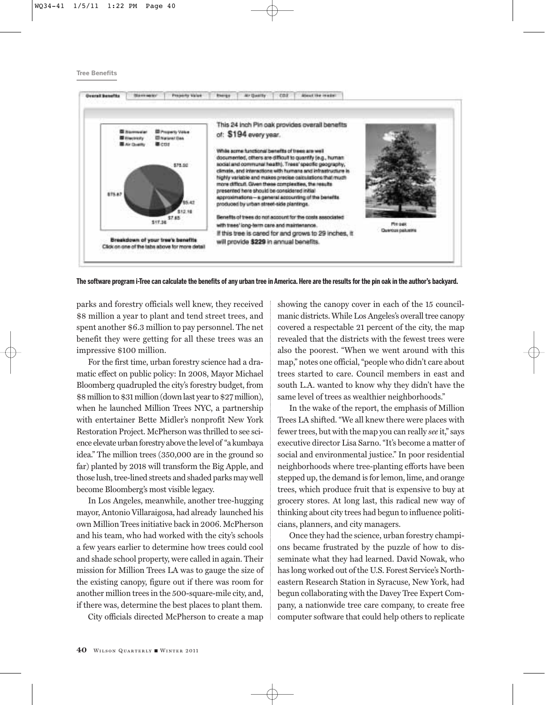#### **Tree Benefits**



**The software program i-Tree can calculate the benefits of any urban tree in America. Here are the results for the pin oak in the author's backyard.**

parks and forestry officials well knew, they received \$8 million a year to plant and tend street trees, and spent another \$6.3 million to pay personnel. The net benefit they were getting for all these trees was an impressive \$100 million.

For the first time, urban forestry science had a dramatic effect on public policy: In 2008, Mayor Michael Bloomberg quadrupled the city's forestry budget, from \$8 million to \$31 million (down last year to \$27 million), when he launched Million Trees NYC, a partnership with entertainer Bette Midler's nonprofit New York Restoration Project. McPherson was thrilled to see science elevate urban forestry above the level of "a kumbaya idea." The million trees (350,000 are in the ground so far) planted by 2018 will transform the Big Apple, and those lush, tree-lined streets and shaded parks may well become Bloomberg's most visible legacy.

In Los Angeles, meanwhile, another tree-hugging mayor, Antonio Villaraigosa, had already launched his own Million Trees initiative back in 2006. McPherson and his team, who had worked with the city's schools a few years earlier to determine how trees could cool and shade school property, were called in again. Their mission for Million Trees LA was to gauge the size of the existing canopy, figure out if there was room for another million trees in the 500-square-mile city, and, if there was, determine the best places to plant them.

City officials directed McPherson to create a map

showing the canopy cover in each of the 15 councilmanic districts. While Los Angeles's overall tree canopy covered a respectable 21 percent of the city, the map revealed that the districts with the fewest trees were also the poorest. "When we went around with this map," notes one official, "people who didn't care about trees started to care. Council members in east and south L.A. wanted to know why they didn't have the same level of trees as wealthier neighborhoods."

In the wake of the report, the emphasis of Million Trees LA shifted. "We all knew there were places with fewer trees, but with the map you can really *see* it," says executive director Lisa Sarno. "It's become a matter of social and environmental justice." In poor residential neighborhoods where tree-planting efforts have been stepped up, the demand is for lemon, lime, and orange trees, which produce fruit that is expensive to buy at grocery stores. At long last, this radical new way of thinking about city trees had begun to influence politicians, planners, and city managers.

Once they had the science, urban forestry champions became frustrated by the puzzle of how to disseminate what they had learned. David Nowak, who has long worked out of the U.S. Forest Service's Northeastern Research Station in Syracuse, New York, had begun collaborating with the Davey Tree Expert Company, a nationwide tree care company, to create free computer software that could help others to replicate